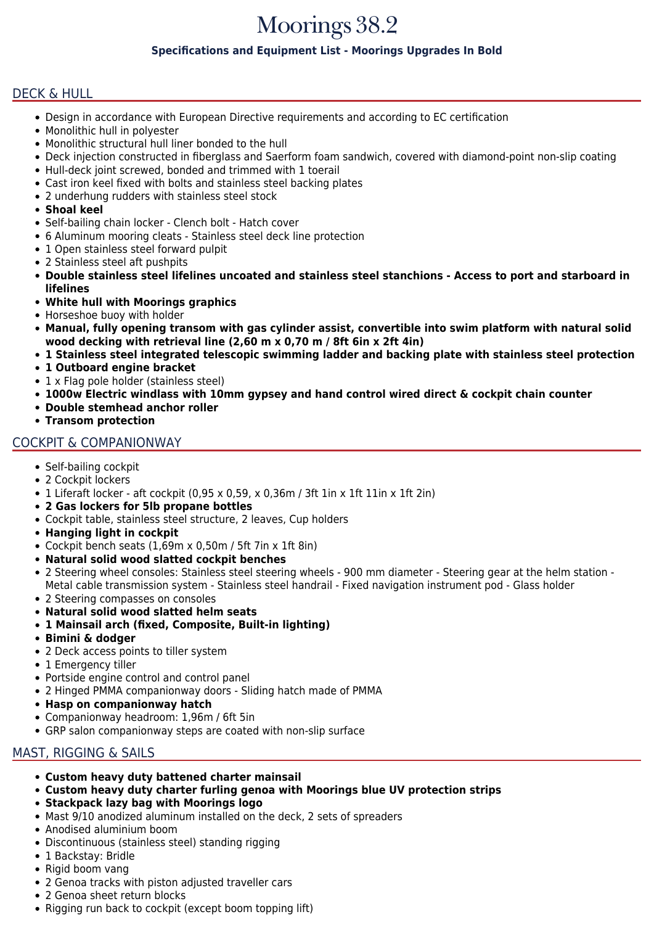# Moorings 38.2

### **Specifications and Equipment List - Moorings Upgrades In Bold**

### DECK & HULL

- Design in accordance with European Directive requirements and according to EC certification
- Monolithic hull in polyester
- Monolithic structural hull liner bonded to the hull
- Deck injection constructed in fiberglass and Saerform foam sandwich, covered with diamond-point non-slip coating
- Hull-deck joint screwed, bonded and trimmed with 1 toerail
- Cast iron keel fixed with bolts and stainless steel backing plates
- 2 underhung rudders with stainless steel stock
- **Shoal keel**
- Self-bailing chain locker Clench bolt Hatch cover
- 6 Aluminum mooring cleats Stainless steel deck line protection
- 1 Open stainless steel forward pulpit
- 2 Stainless steel aft pushpits
- **Double stainless steel lifelines uncoated and stainless steel stanchions Access to port and starboard in lifelines**
- **White hull with Moorings graphics**
- Horseshoe buoy with holder
- **Manual, fully opening transom with gas cylinder assist, convertible into swim platform with natural solid wood decking with retrieval line (2,60 m x 0,70 m / 8ft 6in x 2ft 4in)**
- **1 Stainless steel integrated telescopic swimming ladder and backing plate with stainless steel protection**
- **1 Outboard engine bracket**
- 1 x Flag pole holder (stainless steel)
- **1000w Electric windlass with 10mm gypsey and hand control wired direct & cockpit chain counter**
- **Double stemhead anchor roller**
- **Transom protection**

### COCKPIT & COMPANIONWAY

- Self-bailing cockpit
- 2 Cockpit lockers
- 1 Liferaft locker aft cockpit (0,95 x 0,59, x 0,36m / 3ft 1in x 1ft 11in x 1ft 2in)
- **2 Gas lockers for 5lb propane bottles**
- Cockpit table, stainless steel structure, 2 leaves, Cup holders
- **Hanging light in cockpit**
- Cockpit bench seats (1,69m x 0,50m / 5ft 7in x 1ft 8in)
- **Natural solid wood slatted cockpit benches**
- 2 Steering wheel consoles: Stainless steel steering wheels 900 mm diameter Steering gear at the helm station Metal cable transmission system - Stainless steel handrail - Fixed navigation instrument pod - Glass holder
- 2 Steering compasses on consoles
- **Natural solid wood slatted helm seats**
- **1 Mainsail arch (fixed, Composite, Built-in lighting)**
- **Bimini & dodger**
- 2 Deck access points to tiller system
- 1 Emergency tiller
- Portside engine control and control panel
- 2 Hinged PMMA companionway doors Sliding hatch made of PMMA
- **Hasp on companionway hatch**
- Companionway headroom: 1,96m / 6ft 5in
- GRP salon companionway steps are coated with non-slip surface

### MAST, RIGGING & SAILS

- **Custom heavy duty battened charter mainsail**
- **Custom heavy duty charter furling genoa with Moorings blue UV protection strips**
- **Stackpack lazy bag with Moorings logo**
- Mast 9/10 anodized aluminum installed on the deck, 2 sets of spreaders
- Anodised aluminium boom
- Discontinuous (stainless steel) standing rigging
- 1 Backstay: Bridle
- Rigid boom vang
- 2 Genoa tracks with piston adjusted traveller cars
- 2 Genoa sheet return blocks
- Rigging run back to cockpit (except boom topping lift)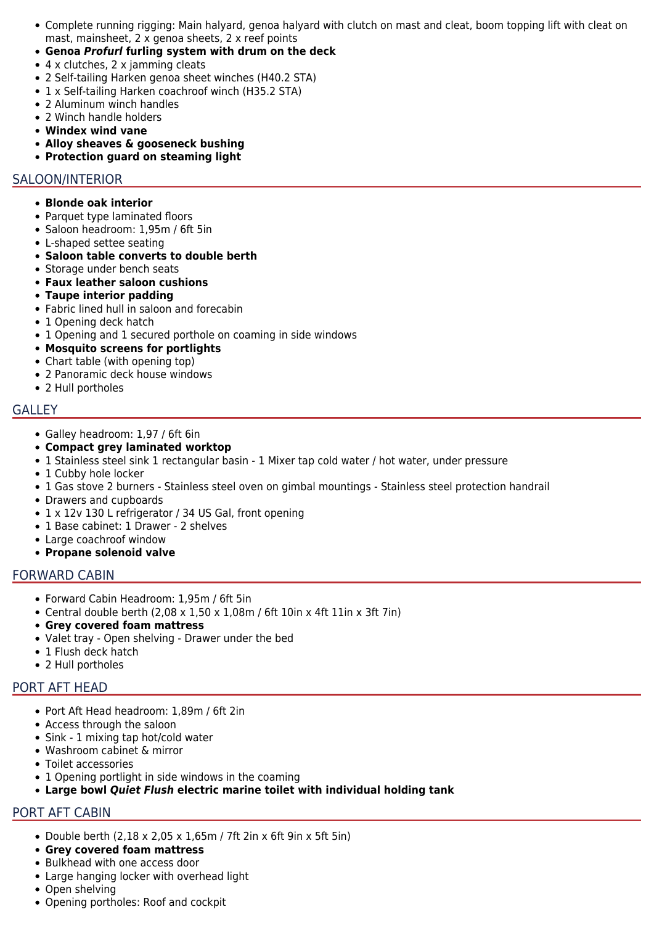- Complete running rigging: Main halyard, genoa halyard with clutch on mast and cleat, boom topping lift with cleat on mast, mainsheet, 2 x genoa sheets, 2 x reef points
- **Genoa** *Profurl* **furling system with drum on the deck**
- 4 x clutches, 2 x jamming cleats
- 2 Self-tailing Harken genoa sheet winches (H40.2 STA)
- 1 x Self-tailing Harken coachroof winch (H35.2 STA)
- 2 Aluminum winch handles
- 2 Winch handle holders
- **Windex wind vane**
- **Alloy sheaves & gooseneck bushing**
- **Protection guard on steaming light**

#### SALOON/INTERIOR

- **Blonde oak interior**
- Parquet type laminated floors
- Saloon headroom: 1,95m / 6ft 5in
- L-shaped settee seating
- **Saloon table converts to double berth**
- Storage under bench seats
- **Faux leather saloon cushions**
- **Taupe interior padding**
- Fabric lined hull in saloon and forecabin
- 1 Opening deck hatch
- 1 Opening and 1 secured porthole on coaming in side windows
- **Mosquito screens for portlights**
- Chart table (with opening top)
- 2 Panoramic deck house windows
- 2 Hull portholes

### GALLEY

- Galley headroom: 1,97 / 6ft 6in
- **Compact grey laminated worktop**
- 1 Stainless steel sink 1 rectangular basin 1 Mixer tap cold water / hot water, under pressure
- 1 Cubby hole locker
- 1 Gas stove 2 burners Stainless steel oven on gimbal mountings Stainless steel protection handrail
- Drawers and cupboards
- 1 x 12v 130 L refrigerator / 34 US Gal, front opening
- 1 Base cabinet: 1 Drawer 2 shelves
- Large coachroof window
- **Propane solenoid valve**

### FORWARD CABIN

- Forward Cabin Headroom: 1,95m / 6ft 5in
- Central double berth  $(2,08 \times 1,50 \times 1,08$ m / 6ft 10in x 4ft 11in x 3ft 7in)
- **Grey covered foam mattress**
- Valet tray Open shelving Drawer under the bed
- 1 Flush deck hatch
- 2 Hull portholes

## PORT AFT HEAD

- Port Aft Head headroom: 1,89m / 6ft 2in
- Access through the saloon
- Sink 1 mixing tap hot/cold water
- Washroom cabinet & mirror
- Toilet accessories
- 1 Opening portlight in side windows in the coaming
- **Large bowl** *Quiet Flush* **electric marine toilet with individual holding tank**

## PORT AFT CABIN

- Double berth  $(2,18 \times 2,05 \times 1,65 \text{m}$  / 7ft 2in x 6ft 9in x 5ft 5in)
- **Grey covered foam mattress**
- Bulkhead with one access door
- Large hanging locker with overhead light
- Open shelving
- Opening portholes: Roof and cockpit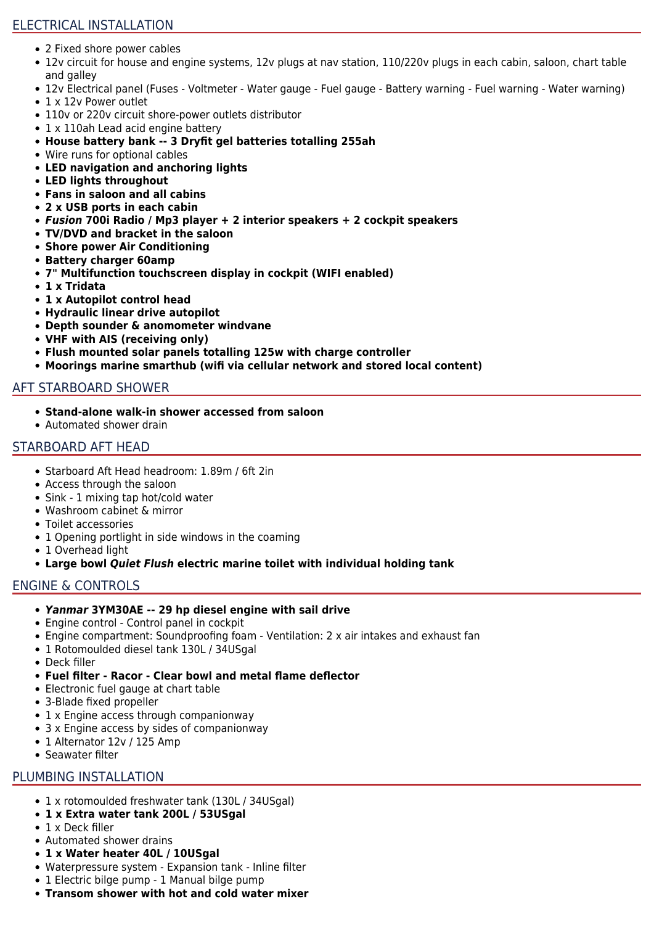## ELECTRICAL INSTALLATION

- 2 Fixed shore power cables
- 12v circuit for house and engine systems, 12v plugs at nav station, 110/220v plugs in each cabin, saloon, chart table and galley
- 12v Electrical panel (Fuses Voltmeter Water gauge Fuel gauge Battery warning Fuel warning Water warning)
- 1 x 12y Power outlet
- 110v or 220v circuit shore-power outlets distributor
- 1 x 110ah Lead acid engine battery
- **House battery bank -- 3 Dryfit gel batteries totalling 255ah**
- Wire runs for optional cables
- **LED navigation and anchoring lights**
- **LED lights throughout**
- **Fans in saloon and all cabins**
- **2 x USB ports in each cabin**
- *Fusion* **700i Radio / Mp3 player + 2 interior speakers + 2 cockpit speakers**
- **TV/DVD and bracket in the saloon**
- **Shore power Air Conditioning**
- **Battery charger 60amp**
- **7" Multifunction touchscreen display in cockpit (WIFI enabled)**
- **1 x Tridata**
- **1 x Autopilot control head**
- **Hydraulic linear drive autopilot**
- **Depth sounder & anomometer windvane**
- **VHF with AIS (receiving only)**
- **Flush mounted solar panels totalling 125w with charge controller**
- **Moorings marine smarthub (wifi via cellular network and stored local content)**

### AFT STARBOARD SHOWER

- **Stand-alone walk-in shower accessed from saloon**
- Automated shower drain

### STARBOARD AFT HEAD

- Starboard Aft Head headroom: 1.89m / 6ft 2in
- Access through the saloon
- Sink 1 mixing tap hot/cold water
- Washroom cabinet & mirror
- Toilet accessories
- 1 Opening portlight in side windows in the coaming
- 1 Overhead light
- **Large bowl** *Quiet Flush* **electric marine toilet with individual holding tank**

### ENGINE & CONTROLS

- *Yanmar* **3YM30AE -- 29 hp diesel engine with sail drive**
- Engine control Control panel in cockpit
- Engine compartment: Soundproofing foam Ventilation: 2 x air intakes and exhaust fan
- 1 Rotomoulded diesel tank 130L / 34USgal
- Deck filler
- **Fuel filter Racor Clear bowl and metal flame deflector**
- Electronic fuel gauge at chart table
- 3-Blade fixed propeller
- 1 x Engine access through companionway
- 3 x Engine access by sides of companionway
- 1 Alternator 12v / 125 Amp
- Seawater filter

## PLUMBING INSTALLATION

- 1 x rotomoulded freshwater tank (130L / 34USgal)
- **1 x Extra water tank 200L / 53USgal**
- 1 x Deck filler
- Automated shower drains
- **1 x Water heater 40L / 10USgal**
- Waterpressure system Expansion tank Inline filter
- 1 Electric bilge pump 1 Manual bilge pump
- **Transom shower with hot and cold water mixer**